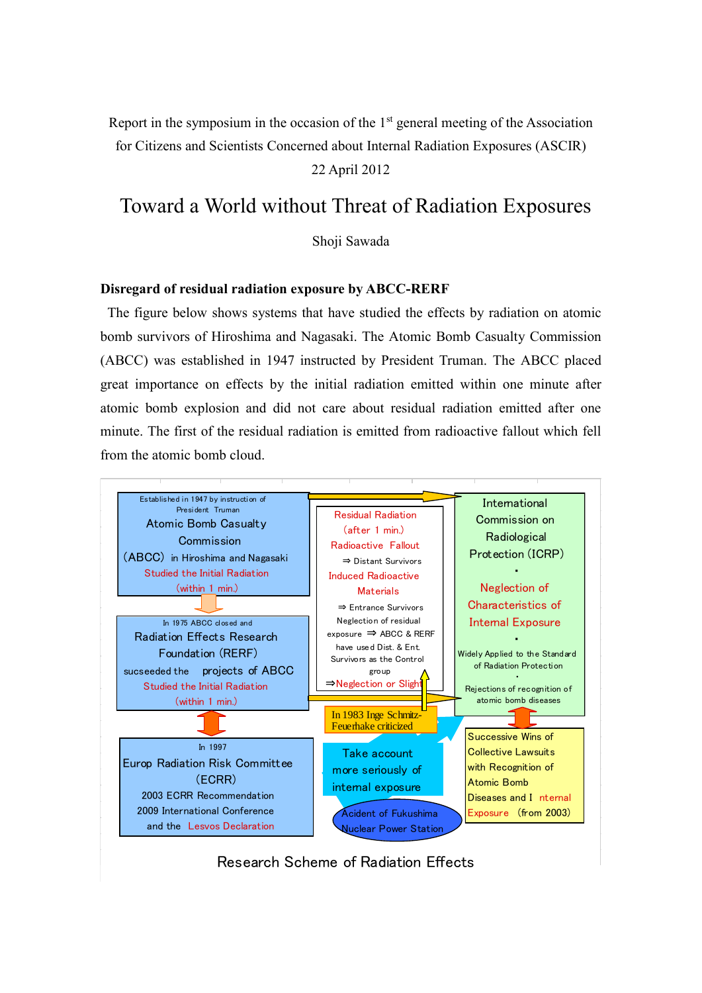Report in the symposium in the occasion of the  $1<sup>st</sup>$  general meeting of the Association for Citizens and Scientists Concerned about Internal Radiation Exposures (ASCIR)

22 April 2012

# Toward a World without Threat of Radiation Exposures

Shoji Sawada

#### **Disregard of residual radiation exposure by ABCC-RERF**

The figure below shows systems that have studied the effects by radiation on atomic bomb survivors of Hiroshima and Nagasaki. The Atomic Bomb Casualty Commission (ABCC) was established in 1947 instructed by President Truman. The ABCC placed great importance on effects by the initial radiation emitted within one minute after atomic bomb explosion and did not care about residual radiation emitted after one minute. The first of the residual radiation is emitted from radioactive fallout which fell from the atomic bomb cloud.



Research Scheme of Radiation Effects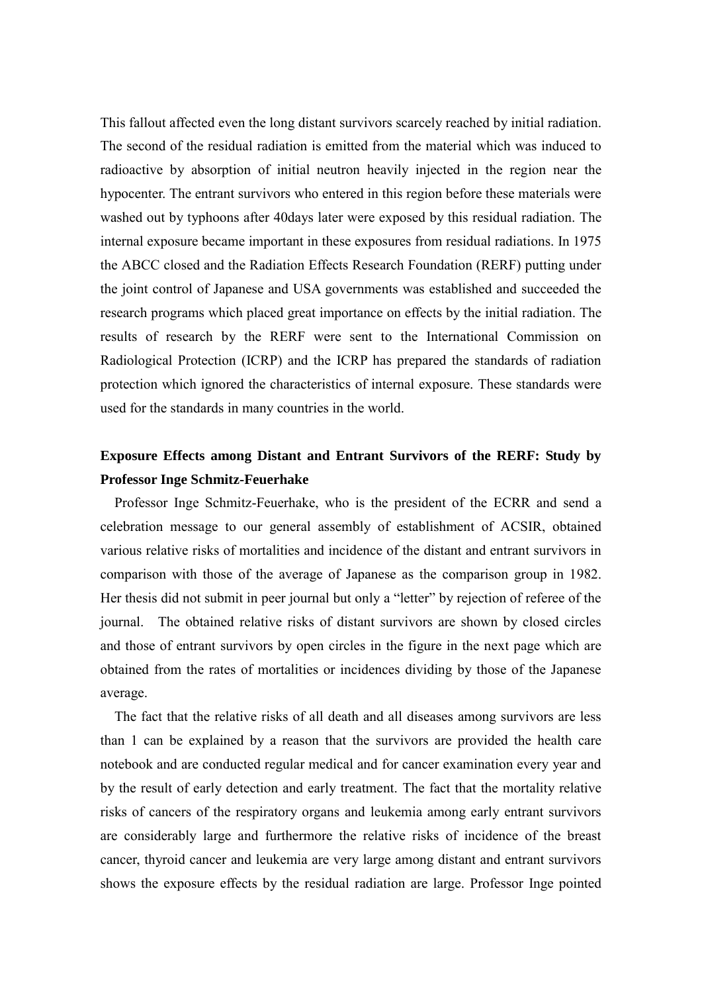This fallout affected even the long distant survivors scarcely reached by initial radiation. The second of the residual radiation is emitted from the material which was induced to radioactive by absorption of initial neutron heavily injected in the region near the hypocenter. The entrant survivors who entered in this region before these materials were washed out by typhoons after 40days later were exposed by this residual radiation. The internal exposure became important in these exposures from residual radiations. In 1975 the ABCC closed and the Radiation Effects Research Foundation (RERF) putting under the joint control of Japanese and USA governments was established and succeeded the research programs which placed great importance on effects by the initial radiation. The results of research by the RERF were sent to the International Commission on Radiological Protection (ICRP) and the ICRP has prepared the standards of radiation protection which ignored the characteristics of internal exposure. These standards were used for the standards in many countries in the world.

### **Exposure Effects among Distant and Entrant Survivors of the RERF: Study by Professor Inge Schmitz-Feuerhake**

 Professor Inge Schmitz-Feuerhake, who is the president of the ECRR and send a celebration message to our general assembly of establishment of ACSIR, obtained various relative risks of mortalities and incidence of the distant and entrant survivors in comparison with those of the average of Japanese as the comparison group in 1982. Her thesis did not submit in peer journal but only a "letter" by rejection of referee of the journal. The obtained relative risks of distant survivors are shown by closed circles and those of entrant survivors by open circles in the figure in the next page which are obtained from the rates of mortalities or incidences dividing by those of the Japanese average.

 The fact that the relative risks of all death and all diseases among survivors are less than 1 can be explained by a reason that the survivors are provided the health care notebook and are conducted regular medical and for cancer examination every year and by the result of early detection and early treatment. The fact that the mortality relative risks of cancers of the respiratory organs and leukemia among early entrant survivors are considerably large and furthermore the relative risks of incidence of the breast cancer, thyroid cancer and leukemia are very large among distant and entrant survivors shows the exposure effects by the residual radiation are large. Professor Inge pointed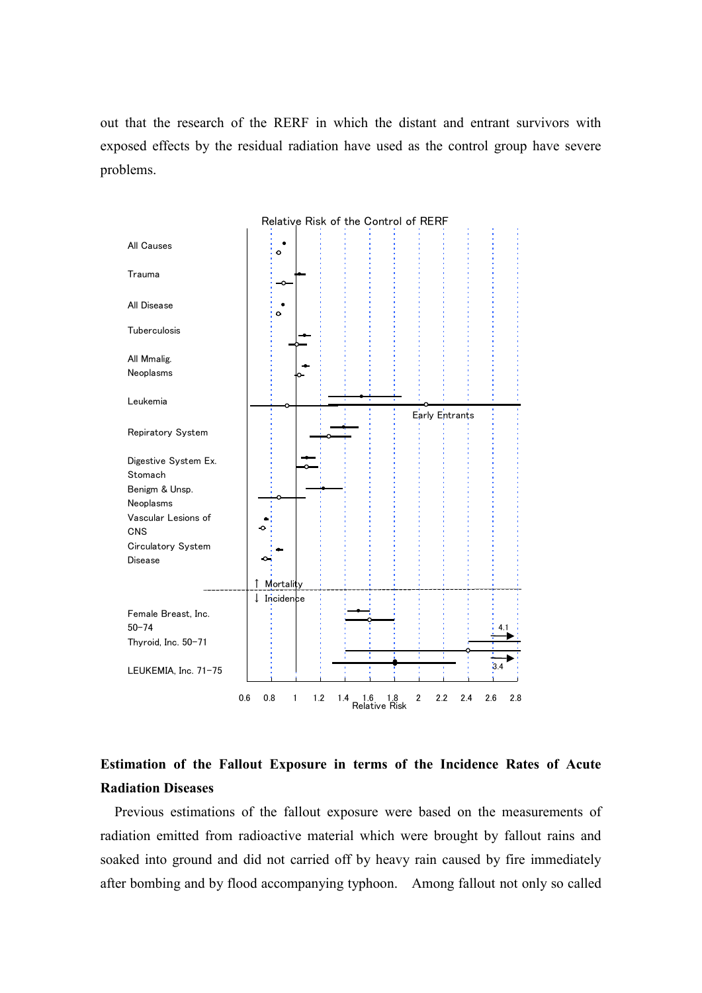out that the research of the RERF in which the distant and entrant survivors with exposed effects by the residual radiation have used as the control group have severe problems.



### **Estimation of the Fallout Exposure in terms of the Incidence Rates of Acute Radiation Diseases**

Previous estimations of the fallout exposure were based on the measurements of radiation emitted from radioactive material which were brought by fallout rains and soaked into ground and did not carried off by heavy rain caused by fire immediately after bombing and by flood accompanying typhoon. Among fallout not only so called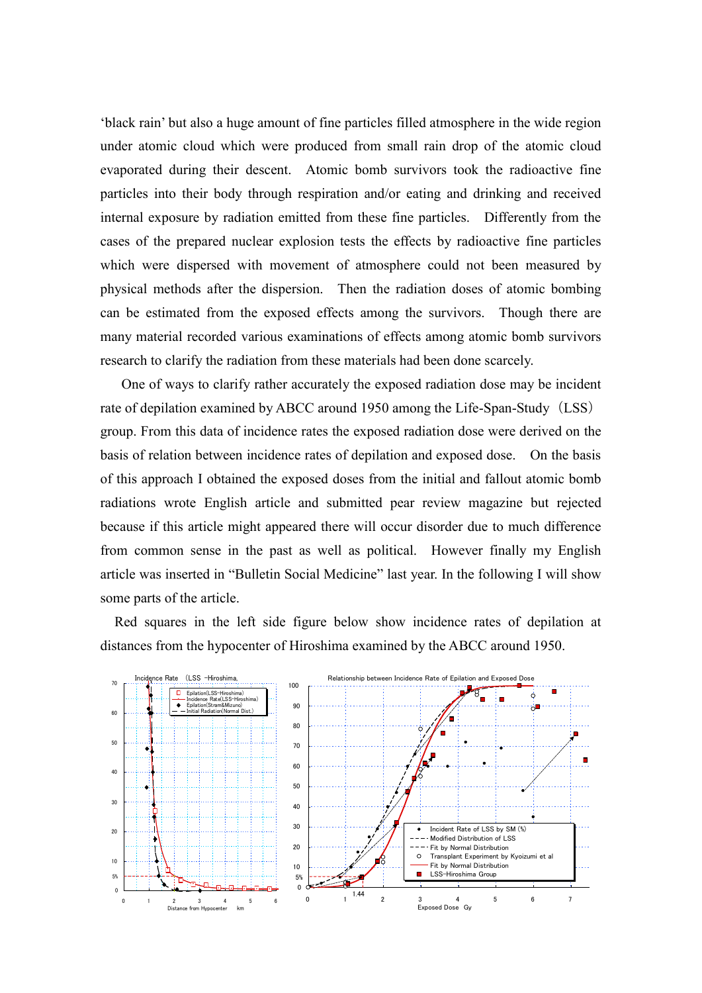'black rain' but also a huge amount of fine particles filled atmosphere in the wide region under atomic cloud which were produced from small rain drop of the atomic cloud evaporated during their descent. Atomic bomb survivors took the radioactive fine particles into their body through respiration and/or eating and drinking and received internal exposure by radiation emitted from these fine particles. Differently from the cases of the prepared nuclear explosion tests the effects by radioactive fine particles which were dispersed with movement of atmosphere could not been measured by physical methods after the dispersion. Then the radiation doses of atomic bombing can be estimated from the exposed effects among the survivors. Though there are many material recorded various examinations of effects among atomic bomb survivors research to clarify the radiation from these materials had been done scarcely.

 One of ways to clarify rather accurately the exposed radiation dose may be incident rate of depilation examined by ABCC around 1950 among the Life-Span-Study (LSS) group. From this data of incidence rates the exposed radiation dose were derived on the basis of relation between incidence rates of depilation and exposed dose. On the basis of this approach I obtained the exposed doses from the initial and fallout atomic bomb radiations wrote English article and submitted pear review magazine but rejected because if this article might appeared there will occur disorder due to much difference from common sense in the past as well as political. However finally my English article was inserted in "Bulletin Social Medicine" last year. In the following I will show some parts of the article.

 Red squares in the left side figure below show incidence rates of depilation at distances from the hypocenter of Hiroshima examined by the ABCC around 1950.

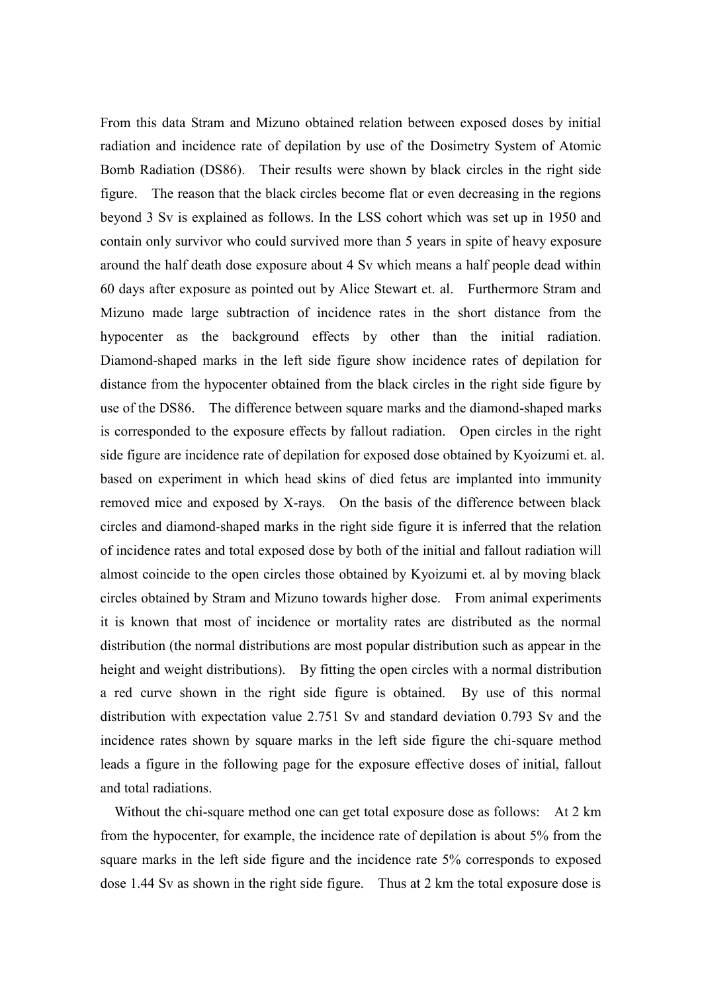From this data Stram and Mizuno obtained relation between exposed doses by initial radiation and incidence rate of depilation by use of the Dosimetry System of Atomic Bomb Radiation (DS86). Their results were shown by black circles in the right side figure. The reason that the black circles become flat or even decreasing in the regions beyond 3 Sv is explained as follows. In the LSS cohort which was set up in 1950 and contain only survivor who could survived more than 5 years in spite of heavy exposure around the half death dose exposure about 4 Sv which means a half people dead within 60 days after exposure as pointed out by Alice Stewart et. al. Furthermore Stram and Mizuno made large subtraction of incidence rates in the short distance from the hypocenter as the background effects by other than the initial radiation. Diamond-shaped marks in the left side figure show incidence rates of depilation for distance from the hypocenter obtained from the black circles in the right side figure by use of the DS86. The difference between square marks and the diamond-shaped marks is corresponded to the exposure effects by fallout radiation. Open circles in the right side figure are incidence rate of depilation for exposed dose obtained by Kyoizumi et. al. based on experiment in which head skins of died fetus are implanted into immunity removed mice and exposed by X-rays. On the basis of the difference between black circles and diamond-shaped marks in the right side figure it is inferred that the relation of incidence rates and total exposed dose by both of the initial and fallout radiation will almost coincide to the open circles those obtained by Kyoizumi et. al by moving black circles obtained by Stram and Mizuno towards higher dose. From animal experiments it is known that most of incidence or mortality rates are distributed as the normal distribution (the normal distributions are most popular distribution such as appear in the height and weight distributions). By fitting the open circles with a normal distribution a red curve shown in the right side figure is obtained. By use of this normal distribution with expectation value 2.751 Sv and standard deviation 0.793 Sv and the incidence rates shown by square marks in the left side figure the chi-square method leads a figure in the following page for the exposure effective doses of initial, fallout and total radiations.

 Without the chi-square method one can get total exposure dose as follows: At 2 km from the hypocenter, for example, the incidence rate of depilation is about 5% from the square marks in the left side figure and the incidence rate 5% corresponds to exposed dose 1.44 Sv as shown in the right side figure. Thus at 2 km the total exposure dose is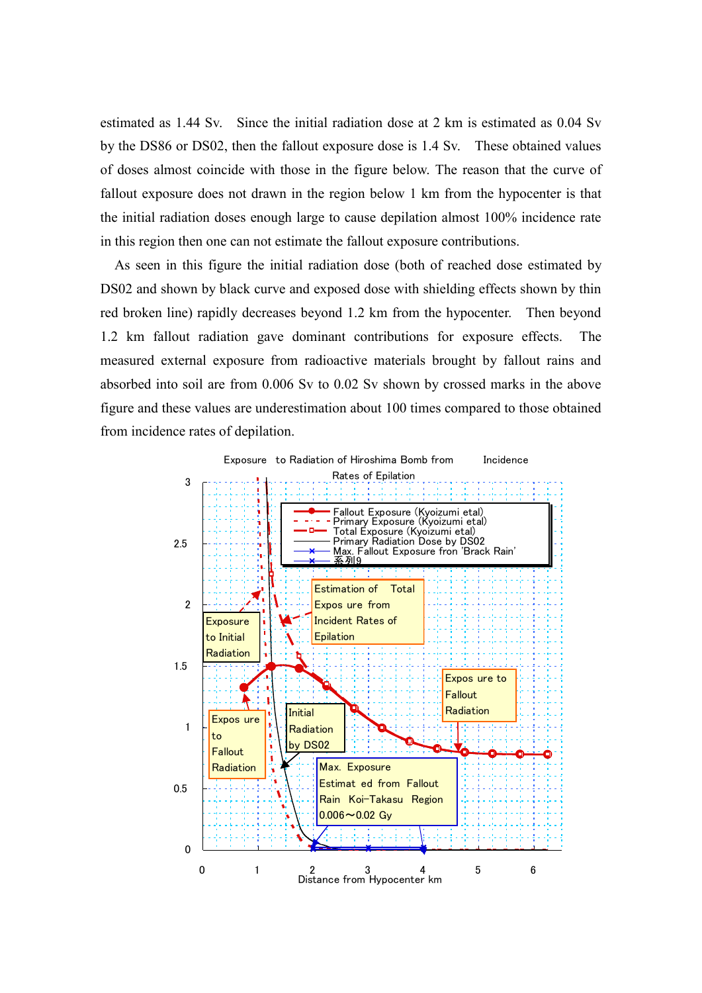estimated as 1.44 Sv. Since the initial radiation dose at 2 km is estimated as 0.04 Sv by the DS86 or DS02, then the fallout exposure dose is 1.4 Sv. These obtained values of doses almost coincide with those in the figure below. The reason that the curve of fallout exposure does not drawn in the region below 1 km from the hypocenter is that the initial radiation doses enough large to cause depilation almost 100% incidence rate in this region then one can not estimate the fallout exposure contributions.

 As seen in this figure the initial radiation dose (both of reached dose estimated by DS02 and shown by black curve and exposed dose with shielding effects shown by thin red broken line) rapidly decreases beyond 1.2 km from the hypocenter. Then beyond 1.2 km fallout radiation gave dominant contributions for exposure effects. The measured external exposure from radioactive materials brought by fallout rains and absorbed into soil are from 0.006 Sv to 0.02 Sv shown by crossed marks in the above figure and these values are underestimation about 100 times compared to those obtained from incidence rates of depilation.

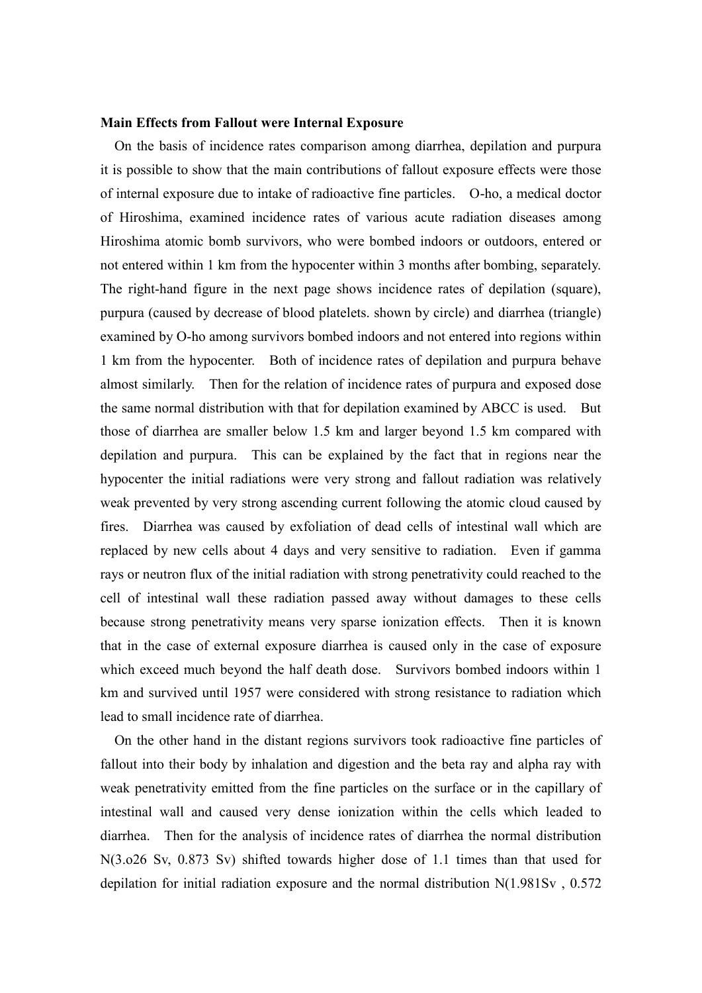#### **Main Effects from Fallout were Internal Exposure**

 On the basis of incidence rates comparison among diarrhea, depilation and purpura it is possible to show that the main contributions of fallout exposure effects were those of internal exposure due to intake of radioactive fine particles. O-ho, a medical doctor of Hiroshima, examined incidence rates of various acute radiation diseases among Hiroshima atomic bomb survivors, who were bombed indoors or outdoors, entered or not entered within 1 km from the hypocenter within 3 months after bombing, separately. The right-hand figure in the next page shows incidence rates of depilation (square), purpura (caused by decrease of blood platelets. shown by circle) and diarrhea (triangle) examined by O-ho among survivors bombed indoors and not entered into regions within 1 km from the hypocenter. Both of incidence rates of depilation and purpura behave almost similarly. Then for the relation of incidence rates of purpura and exposed dose the same normal distribution with that for depilation examined by ABCC is used. But those of diarrhea are smaller below 1.5 km and larger beyond 1.5 km compared with depilation and purpura. This can be explained by the fact that in regions near the hypocenter the initial radiations were very strong and fallout radiation was relatively weak prevented by very strong ascending current following the atomic cloud caused by fires. Diarrhea was caused by exfoliation of dead cells of intestinal wall which are replaced by new cells about 4 days and very sensitive to radiation. Even if gamma rays or neutron flux of the initial radiation with strong penetrativity could reached to the cell of intestinal wall these radiation passed away without damages to these cells because strong penetrativity means very sparse ionization effects. Then it is known that in the case of external exposure diarrhea is caused only in the case of exposure which exceed much beyond the half death dose. Survivors bombed indoors within 1 km and survived until 1957 were considered with strong resistance to radiation which lead to small incidence rate of diarrhea.

 On the other hand in the distant regions survivors took radioactive fine particles of fallout into their body by inhalation and digestion and the beta ray and alpha ray with weak penetrativity emitted from the fine particles on the surface or in the capillary of intestinal wall and caused very dense ionization within the cells which leaded to diarrhea. Then for the analysis of incidence rates of diarrhea the normal distribution N(3.o26 Sv, 0.873 Sv) shifted towards higher dose of 1.1 times than that used for depilation for initial radiation exposure and the normal distribution N(1.981Sv , 0.572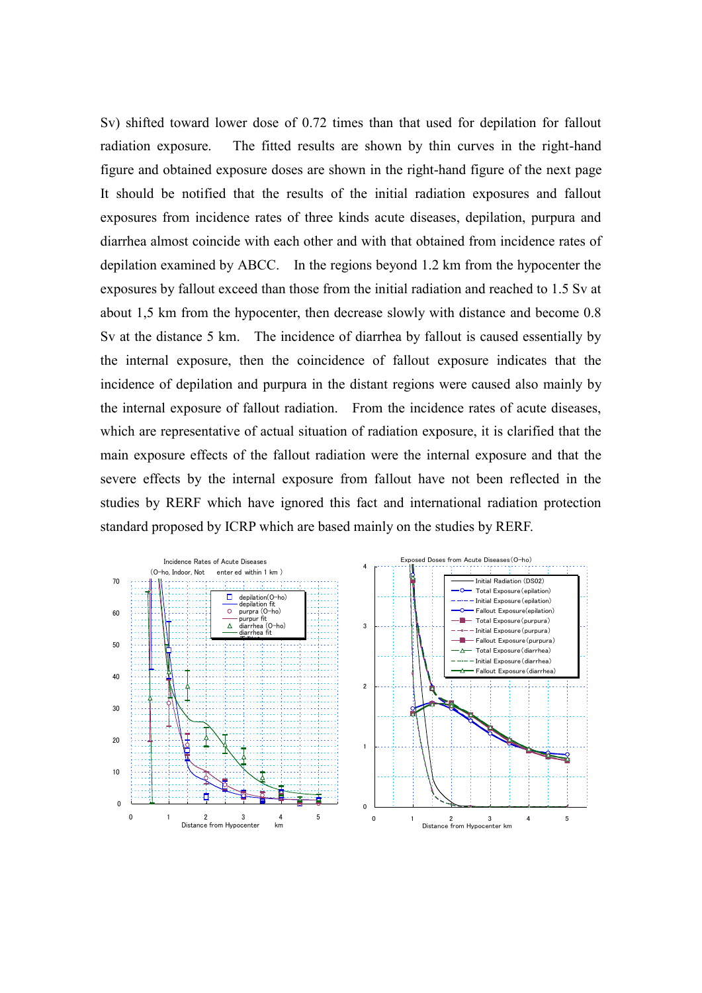Sv) shifted toward lower dose of 0.72 times than that used for depilation for fallout radiation exposure. The fitted results are shown by thin curves in the right-hand figure and obtained exposure doses are shown in the right-hand figure of the next page It should be notified that the results of the initial radiation exposures and fallout exposures from incidence rates of three kinds acute diseases, depilation, purpura and diarrhea almost coincide with each other and with that obtained from incidence rates of depilation examined by ABCC. In the regions beyond 1.2 km from the hypocenter the exposures by fallout exceed than those from the initial radiation and reached to 1.5 Sv at about 1,5 km from the hypocenter, then decrease slowly with distance and become 0.8 Sv at the distance 5 km. The incidence of diarrhea by fallout is caused essentially by the internal exposure, then the coincidence of fallout exposure indicates that the incidence of depilation and purpura in the distant regions were caused also mainly by the internal exposure of fallout radiation. From the incidence rates of acute diseases, which are representative of actual situation of radiation exposure, it is clarified that the main exposure effects of the fallout radiation were the internal exposure and that the severe effects by the internal exposure from fallout have not been reflected in the studies by RERF which have ignored this fact and international radiation protection standard proposed by ICRP which are based mainly on the studies by RERF.

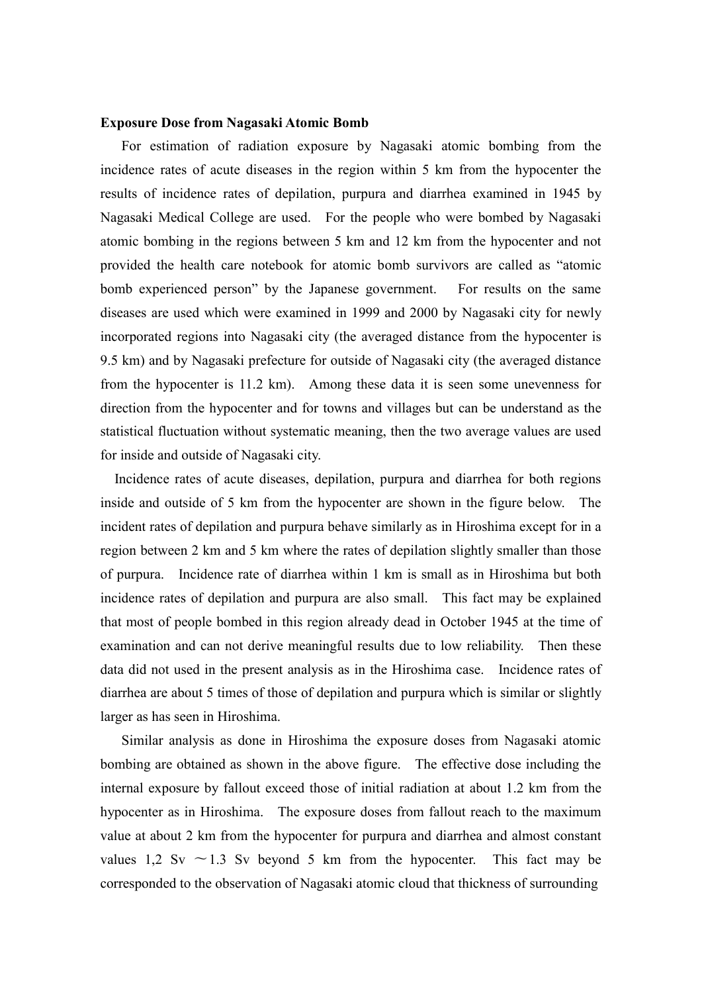#### **Exposure Dose from Nagasaki Atomic Bomb**

 For estimation of radiation exposure by Nagasaki atomic bombing from the incidence rates of acute diseases in the region within 5 km from the hypocenter the results of incidence rates of depilation, purpura and diarrhea examined in 1945 by Nagasaki Medical College are used. For the people who were bombed by Nagasaki atomic bombing in the regions between 5 km and 12 km from the hypocenter and not provided the health care notebook for atomic bomb survivors are called as "atomic bomb experienced person" by the Japanese government. For results on the same diseases are used which were examined in 1999 and 2000 by Nagasaki city for newly incorporated regions into Nagasaki city (the averaged distance from the hypocenter is 9.5 km) and by Nagasaki prefecture for outside of Nagasaki city (the averaged distance from the hypocenter is 11.2 km). Among these data it is seen some unevenness for direction from the hypocenter and for towns and villages but can be understand as the statistical fluctuation without systematic meaning, then the two average values are used for inside and outside of Nagasaki city.

 Incidence rates of acute diseases, depilation, purpura and diarrhea for both regions inside and outside of 5 km from the hypocenter are shown in the figure below. The incident rates of depilation and purpura behave similarly as in Hiroshima except for in a region between 2 km and 5 km where the rates of depilation slightly smaller than those of purpura. Incidence rate of diarrhea within 1 km is small as in Hiroshima but both incidence rates of depilation and purpura are also small. This fact may be explained that most of people bombed in this region already dead in October 1945 at the time of examination and can not derive meaningful results due to low reliability. Then these data did not used in the present analysis as in the Hiroshima case. Incidence rates of diarrhea are about 5 times of those of depilation and purpura which is similar or slightly larger as has seen in Hiroshima.

 Similar analysis as done in Hiroshima the exposure doses from Nagasaki atomic bombing are obtained as shown in the above figure. The effective dose including the internal exposure by fallout exceed those of initial radiation at about 1.2 km from the hypocenter as in Hiroshima. The exposure doses from fallout reach to the maximum value at about 2 km from the hypocenter for purpura and diarrhea and almost constant values 1,2 Sv  $\sim$  1.3 Sv beyond 5 km from the hypocenter. This fact may be corresponded to the observation of Nagasaki atomic cloud that thickness of surrounding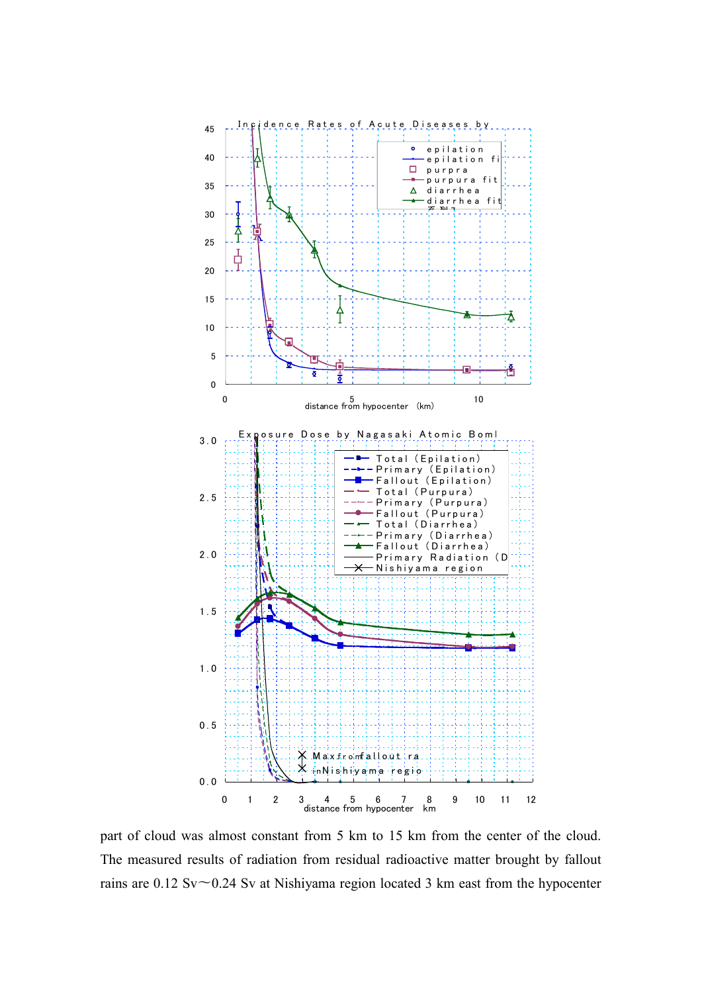

part of cloud was almost constant from 5 km to 15 km from the center of the cloud. The measured results of radiation from residual radioactive matter brought by fallout rains are  $0.12$  Sv $\sim$ 0.24 Sv at Nishiyama region located 3 km east from the hypocenter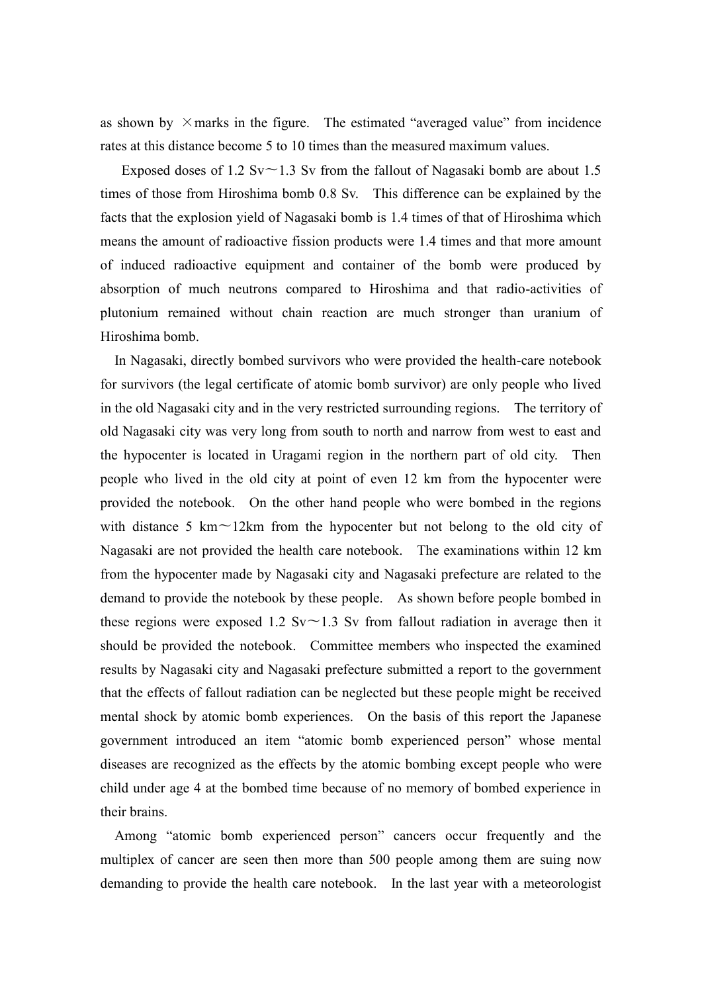as shown by  $\times$  marks in the figure. The estimated "averaged value" from incidence rates at this distance become 5 to 10 times than the measured maximum values.

Exposed doses of 1.2 Sv $\sim$ 1.3 Sv from the fallout of Nagasaki bomb are about 1.5 times of those from Hiroshima bomb 0.8 Sv. This difference can be explained by the facts that the explosion yield of Nagasaki bomb is 1.4 times of that of Hiroshima which means the amount of radioactive fission products were 1.4 times and that more amount of induced radioactive equipment and container of the bomb were produced by absorption of much neutrons compared to Hiroshima and that radio-activities of plutonium remained without chain reaction are much stronger than uranium of Hiroshima bomb.

 In Nagasaki, directly bombed survivors who were provided the health-care notebook for survivors (the legal certificate of atomic bomb survivor) are only people who lived in the old Nagasaki city and in the very restricted surrounding regions. The territory of old Nagasaki city was very long from south to north and narrow from west to east and the hypocenter is located in Uragami region in the northern part of old city. Then people who lived in the old city at point of even 12 km from the hypocenter were provided the notebook. On the other hand people who were bombed in the regions with distance 5 km $\sim$ 12km from the hypocenter but not belong to the old city of Nagasaki are not provided the health care notebook. The examinations within 12 km from the hypocenter made by Nagasaki city and Nagasaki prefecture are related to the demand to provide the notebook by these people. As shown before people bombed in these regions were exposed 1.2 Sv $\sim$ 1.3 Sv from fallout radiation in average then it should be provided the notebook. Committee members who inspected the examined results by Nagasaki city and Nagasaki prefecture submitted a report to the government that the effects of fallout radiation can be neglected but these people might be received mental shock by atomic bomb experiences. On the basis of this report the Japanese government introduced an item "atomic bomb experienced person" whose mental diseases are recognized as the effects by the atomic bombing except people who were child under age 4 at the bombed time because of no memory of bombed experience in their brains.

 Among "atomic bomb experienced person" cancers occur frequently and the multiplex of cancer are seen then more than 500 people among them are suing now demanding to provide the health care notebook. In the last year with a meteorologist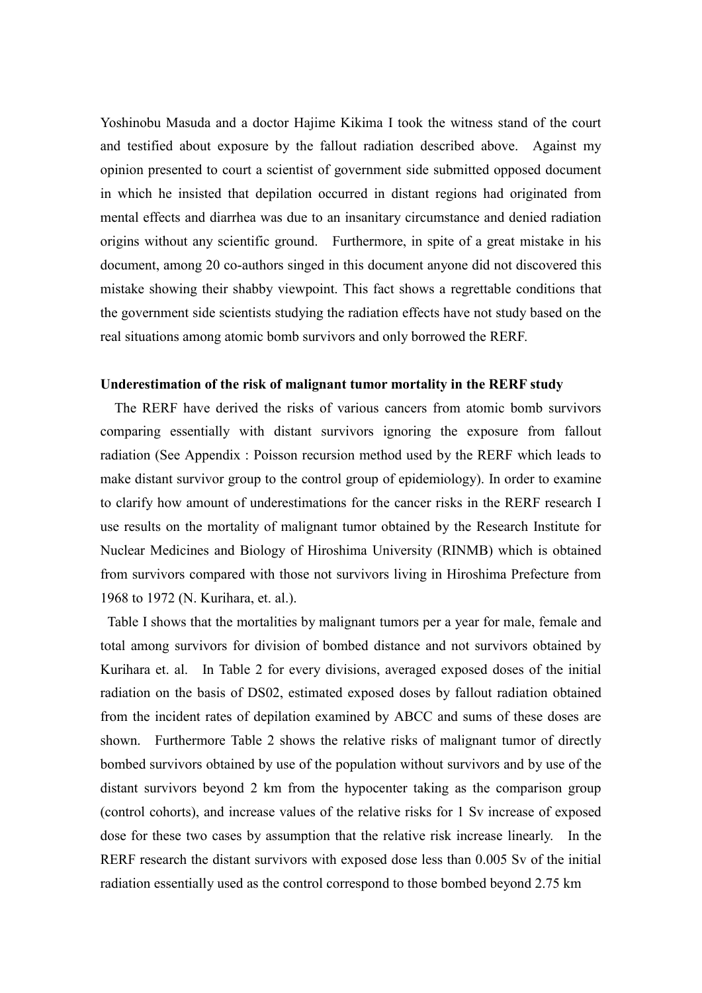Yoshinobu Masuda and a doctor Hajime Kikima I took the witness stand of the court and testified about exposure by the fallout radiation described above. Against my opinion presented to court a scientist of government side submitted opposed document in which he insisted that depilation occurred in distant regions had originated from mental effects and diarrhea was due to an insanitary circumstance and denied radiation origins without any scientific ground. Furthermore, in spite of a great mistake in his document, among 20 co-authors singed in this document anyone did not discovered this mistake showing their shabby viewpoint. This fact shows a regrettable conditions that the government side scientists studying the radiation effects have not study based on the real situations among atomic bomb survivors and only borrowed the RERF.

#### **Underestimation of the risk of malignant tumor mortality in the RERF study**

 The RERF have derived the risks of various cancers from atomic bomb survivors comparing essentially with distant survivors ignoring the exposure from fallout radiation (See Appendix : Poisson recursion method used by the RERF which leads to make distant survivor group to the control group of epidemiology). In order to examine to clarify how amount of underestimations for the cancer risks in the RERF research I use results on the mortality of malignant tumor obtained by the Research Institute for Nuclear Medicines and Biology of Hiroshima University (RINMB) which is obtained from survivors compared with those not survivors living in Hiroshima Prefecture from 1968 to 1972 (N. Kurihara, et. al.).

Table I shows that the mortalities by malignant tumors per a year for male, female and total among survivors for division of bombed distance and not survivors obtained by Kurihara et. al. In Table 2 for every divisions, averaged exposed doses of the initial radiation on the basis of DS02, estimated exposed doses by fallout radiation obtained from the incident rates of depilation examined by ABCC and sums of these doses are shown. Furthermore Table 2 shows the relative risks of malignant tumor of directly bombed survivors obtained by use of the population without survivors and by use of the distant survivors beyond 2 km from the hypocenter taking as the comparison group (control cohorts), and increase values of the relative risks for 1 Sv increase of exposed dose for these two cases by assumption that the relative risk increase linearly. In the RERF research the distant survivors with exposed dose less than 0.005 Sv of the initial radiation essentially used as the control correspond to those bombed beyond 2.75 km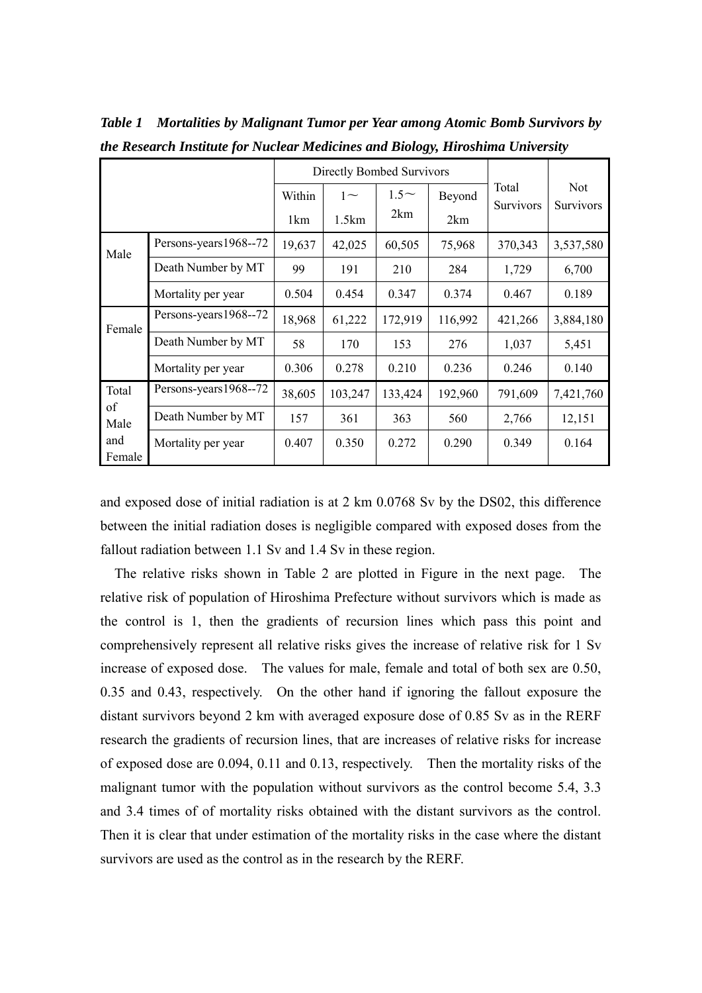|                                      |                       | <b>Directly Bombed Survivors</b> |         |            |         |                           |                                |
|--------------------------------------|-----------------------|----------------------------------|---------|------------|---------|---------------------------|--------------------------------|
|                                      |                       | Within                           | $1\sim$ | $1.5\sim$  | Beyond  | Total<br><b>Survivors</b> | <b>Not</b><br><b>Survivors</b> |
|                                      |                       | 1 <sub>km</sub>                  | 1.5km   | 2km<br>2km |         |                           |                                |
| Male                                 | Persons-years1968--72 | 19,637                           | 42,025  | 60,505     | 75,968  | 370,343                   | 3,537,580                      |
|                                      | Death Number by MT    | 99                               | 191     | 210        | 284     | 1,729                     | 6,700                          |
|                                      | Mortality per year    | 0.504                            | 0.454   | 0.347      | 0.374   | 0.467                     | 0.189                          |
| Female                               | Persons-years1968--72 | 18,968                           | 61,222  | 172,919    | 116,992 | 421,266                   | 3,884,180                      |
|                                      | Death Number by MT    | 58                               | 170     | 153        | 276     | 1,037                     | 5,451                          |
|                                      | Mortality per year    | 0.306                            | 0.278   | 0.210      | 0.236   | 0.246                     | 0.140                          |
| Total<br>of<br>Male<br>and<br>Female | Persons-years1968--72 | 38,605                           | 103,247 | 133,424    | 192,960 | 791,609                   | 7,421,760                      |
|                                      | Death Number by MT    | 157                              | 361     | 363        | 560     | 2,766                     | 12,151                         |
|                                      | Mortality per year    | 0.407                            | 0.350   | 0.272      | 0.290   | 0.349                     | 0.164                          |

*Table 1 Mortalities by Malignant Tumor per Year among Atomic Bomb Survivors by the Research Institute for Nuclear Medicines and Biology, Hiroshima University*

and exposed dose of initial radiation is at 2 km 0.0768 Sv by the DS02, this difference between the initial radiation doses is negligible compared with exposed doses from the fallout radiation between 1.1 Sv and 1.4 Sv in these region.

 The relative risks shown in Table 2 are plotted in Figure in the next page. The relative risk of population of Hiroshima Prefecture without survivors which is made as the control is 1, then the gradients of recursion lines which pass this point and comprehensively represent all relative risks gives the increase of relative risk for 1 Sv increase of exposed dose. The values for male, female and total of both sex are 0.50, 0.35 and 0.43, respectively. On the other hand if ignoring the fallout exposure the distant survivors beyond 2 km with averaged exposure dose of 0.85 Sv as in the RERF research the gradients of recursion lines, that are increases of relative risks for increase of exposed dose are 0.094, 0.11 and 0.13, respectively. Then the mortality risks of the malignant tumor with the population without survivors as the control become 5.4, 3.3 and 3.4 times of of mortality risks obtained with the distant survivors as the control. Then it is clear that under estimation of the mortality risks in the case where the distant survivors are used as the control as in the research by the RERF.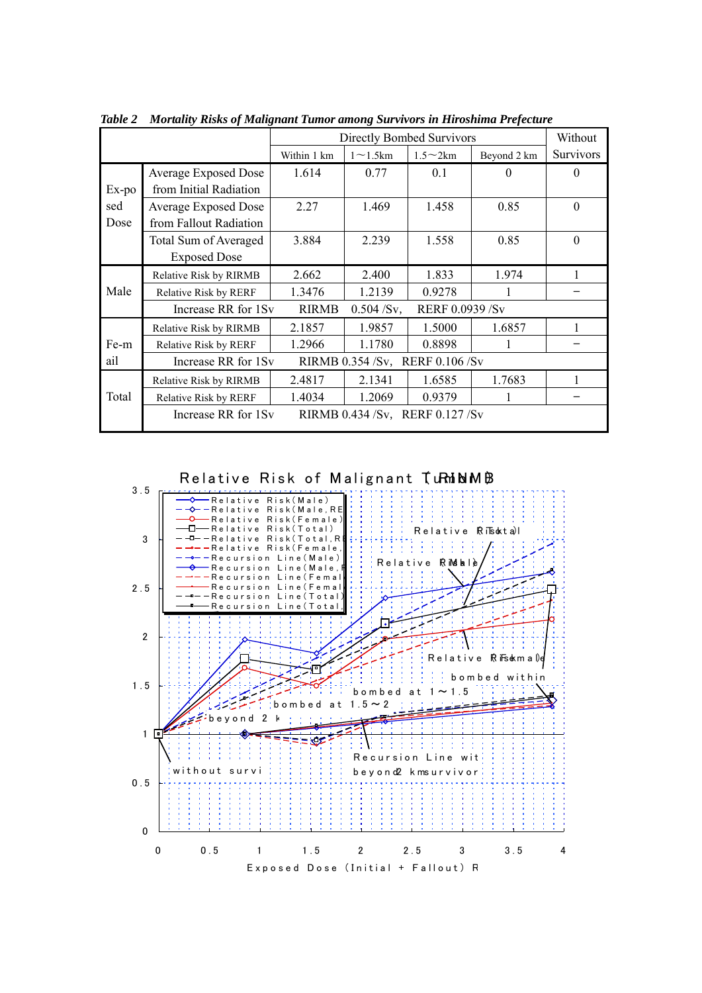|                      | <b>Directly Bombed Survivors</b>                       |              |                 |                        |             | Without          |  |
|----------------------|--------------------------------------------------------|--------------|-----------------|------------------------|-------------|------------------|--|
|                      |                                                        | Within 1 km  | $1 \sim 1.5$ km | $1.5 \sim 2 \text{km}$ | Beyond 2 km | <b>Survivors</b> |  |
| Ex-po<br>sed<br>Dose | <b>Average Exposed Dose</b><br>from Initial Radiation  | 1.614        | 0.77            | 0.1                    | $\Omega$    | $\Omega$         |  |
|                      | <b>Average Exposed Dose</b><br>from Fallout Radiation  | 2.27         | 1.469           | 1.458                  | 0.85        | $\theta$         |  |
|                      | Total Sum of Averaged<br><b>Exposed Dose</b>           | 3.884        | 2.239           | 1.558                  | 0.85        | $\Omega$         |  |
| Male                 | Relative Risk by RIRMB                                 | 2.662        | 2.400           | 1.833                  | 1.974       | 1                |  |
|                      | Relative Risk by RERF                                  | 1.3476       | 1.2139          | 0.9278                 |             |                  |  |
|                      | Increase RR for 1Sv                                    | <b>RIRMB</b> | $0.504$ /Sv,    | RERF 0.0939 /Sv        |             |                  |  |
| Fe-m                 | Relative Risk by RIRMB                                 | 2.1857       | 1.9857          | 1.5000                 | 1.6857      |                  |  |
|                      | Relative Risk by RERF                                  | 1.2966       | 1.1780          | 0.8898                 |             |                  |  |
| ail                  | Increase RR for 1Sv<br>RIRMB 0.354 /Sv, RERF 0.106 /Sv |              |                 |                        |             |                  |  |
| Total                | Relative Risk by RIRMB                                 | 2.4817       | 2.1341          | 1.6585                 | 1.7683      |                  |  |
|                      | <b>Relative Risk by RERF</b>                           | 1.4034       | 1.2069          | 0.9379                 |             |                  |  |
|                      | Increase RR for 1Sv<br>RIRMB 0.434 /Sv, RERF 0.127 /Sv |              |                 |                        |             |                  |  |

*Table 2 Mortality Risks of Malignant Tumor among Survivors in Hiroshima Prefecture*

Relative Risk of Malignant TumbMB

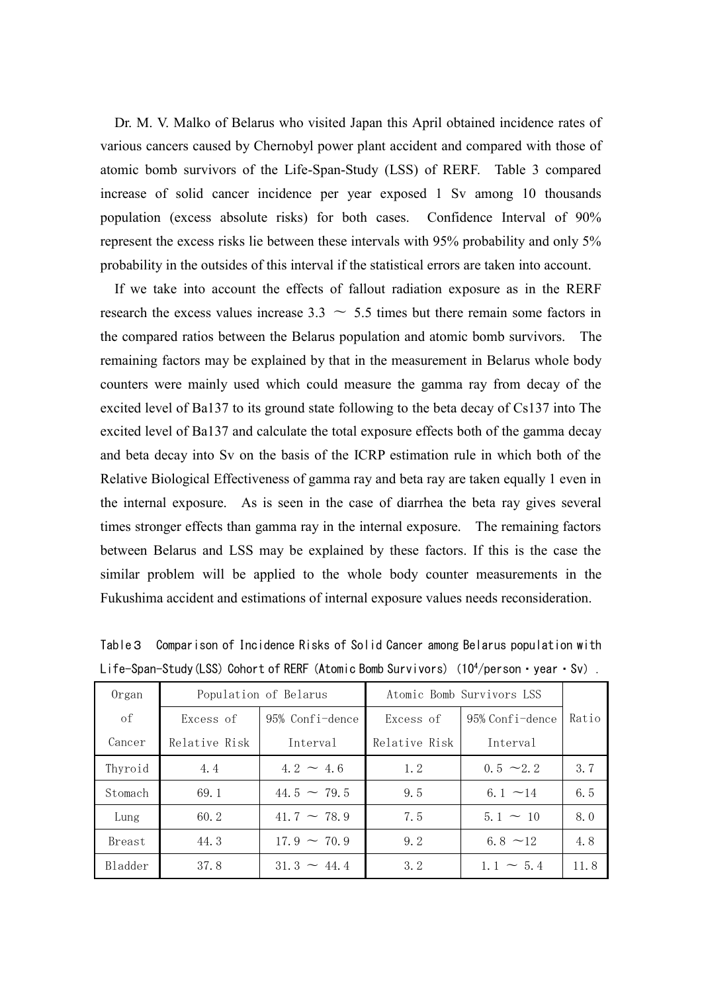Dr. M. V. Malko of Belarus who visited Japan this April obtained incidence rates of various cancers caused by Chernobyl power plant accident and compared with those of atomic bomb survivors of the Life-Span-Study (LSS) of RERF. Table 3 compared increase of solid cancer incidence per year exposed 1 Sv among 10 thousands population (excess absolute risks) for both cases. Confidence Interval of 90% represent the excess risks lie between these intervals with 95% probability and only 5% probability in the outsides of this interval if the statistical errors are taken into account.

 If we take into account the effects of fallout radiation exposure as in the RERF research the excess values increase  $3.3 \sim 5.5$  times but there remain some factors in the compared ratios between the Belarus population and atomic bomb survivors. The remaining factors may be explained by that in the measurement in Belarus whole body counters were mainly used which could measure the gamma ray from decay of the excited level of Ba137 to its ground state following to the beta decay of Cs137 into The excited level of Ba137 and calculate the total exposure effects both of the gamma decay and beta decay into Sv on the basis of the ICRP estimation rule in which both of the Relative Biological Effectiveness of gamma ray and beta ray are taken equally 1 even in the internal exposure. As is seen in the case of diarrhea the beta ray gives several times stronger effects than gamma ray in the internal exposure. The remaining factors between Belarus and LSS may be explained by these factors. If this is the case the similar problem will be applied to the whole body counter measurements in the Fukushima accident and estimations of internal exposure values needs reconsideration.

| Organ   |               | Population of Belarus | Atomic Bomb Survivors LSS |                 |       |
|---------|---------------|-----------------------|---------------------------|-----------------|-------|
| of      | Excess of     | 95% Confi-dence       | Excess of                 | 95% Confi-dence | Ratio |
| Cancer  | Relative Risk | Interval              | Relative Risk<br>Interval |                 |       |
| Thyroid | 4.4           | $4.2 - 4.6$           | 1.2                       | $0.5 \sim 2.2$  | 3.7   |
| Stomach | 69.1          | $44.5 \sim 79.5$      | 9.5                       | 6.1 $\sim$ 14   | 6.5   |
| Lung    | 60.2          | $41.7 \sim 78.9$      | 7.5                       | $5.1 \sim 10$   | 8.0   |
| Breast  | 44.3          | $17.9 - 70.9$         | 9.2                       | 6.8 $\sim$ 12   | 4.8   |
| Bladder | 37.8          | $31.3 \sim 44.4$      | 3.2                       | $1.1 \sim 5.4$  | 11.8  |

Table3 Comparison of Incidence Risks of Solid Cancer among Belarus population with Life-Span-Study(LSS) Cohort of RERF (Atomic Bomb Survivors) (10<sup>4</sup>/person · year · Sv).